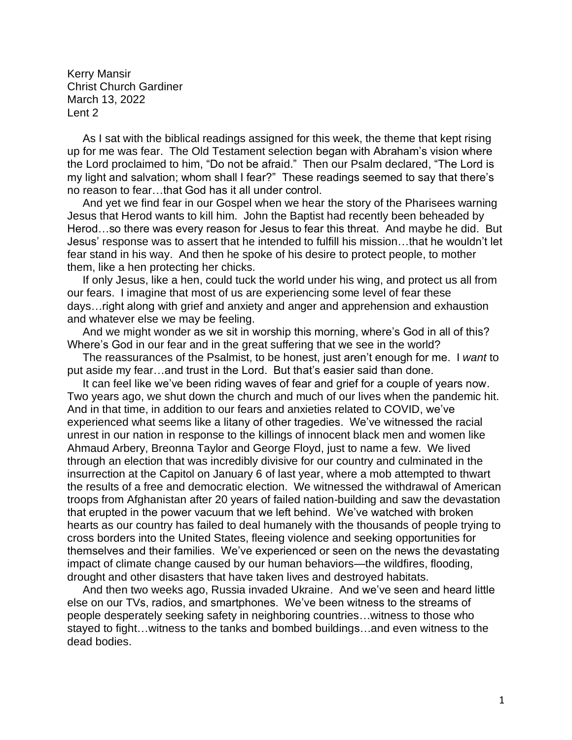Kerry Mansir Christ Church Gardiner March 13, 2022 Lent 2

 As I sat with the biblical readings assigned for this week, the theme that kept rising up for me was fear. The Old Testament selection began with Abraham's vision where the Lord proclaimed to him, "Do not be afraid." Then our Psalm declared, "The Lord is my light and salvation; whom shall I fear?" These readings seemed to say that there's no reason to fear…that God has it all under control.

 And yet we find fear in our Gospel when we hear the story of the Pharisees warning Jesus that Herod wants to kill him. John the Baptist had recently been beheaded by Herod…so there was every reason for Jesus to fear this threat. And maybe he did. But Jesus' response was to assert that he intended to fulfill his mission…that he wouldn't let fear stand in his way. And then he spoke of his desire to protect people, to mother them, like a hen protecting her chicks.

 If only Jesus, like a hen, could tuck the world under his wing, and protect us all from our fears. I imagine that most of us are experiencing some level of fear these days…right along with grief and anxiety and anger and apprehension and exhaustion and whatever else we may be feeling.

 And we might wonder as we sit in worship this morning, where's God in all of this? Where's God in our fear and in the great suffering that we see in the world?

 The reassurances of the Psalmist, to be honest, just aren't enough for me. I *want* to put aside my fear…and trust in the Lord. But that's easier said than done.

 It can feel like we've been riding waves of fear and grief for a couple of years now. Two years ago, we shut down the church and much of our lives when the pandemic hit. And in that time, in addition to our fears and anxieties related to COVID, we've experienced what seems like a litany of other tragedies. We've witnessed the racial unrest in our nation in response to the killings of innocent black men and women like Ahmaud Arbery, Breonna Taylor and George Floyd, just to name a few. We lived through an election that was incredibly divisive for our country and culminated in the insurrection at the Capitol on January 6 of last year, where a mob attempted to thwart the results of a free and democratic election. We witnessed the withdrawal of American troops from Afghanistan after 20 years of failed nation-building and saw the devastation that erupted in the power vacuum that we left behind. We've watched with broken hearts as our country has failed to deal humanely with the thousands of people trying to cross borders into the United States, fleeing violence and seeking opportunities for themselves and their families. We've experienced or seen on the news the devastating impact of climate change caused by our human behaviors—the wildfires, flooding, drought and other disasters that have taken lives and destroyed habitats.

 And then two weeks ago, Russia invaded Ukraine. And we've seen and heard little else on our TVs, radios, and smartphones. We've been witness to the streams of people desperately seeking safety in neighboring countries…witness to those who stayed to fight…witness to the tanks and bombed buildings…and even witness to the dead bodies.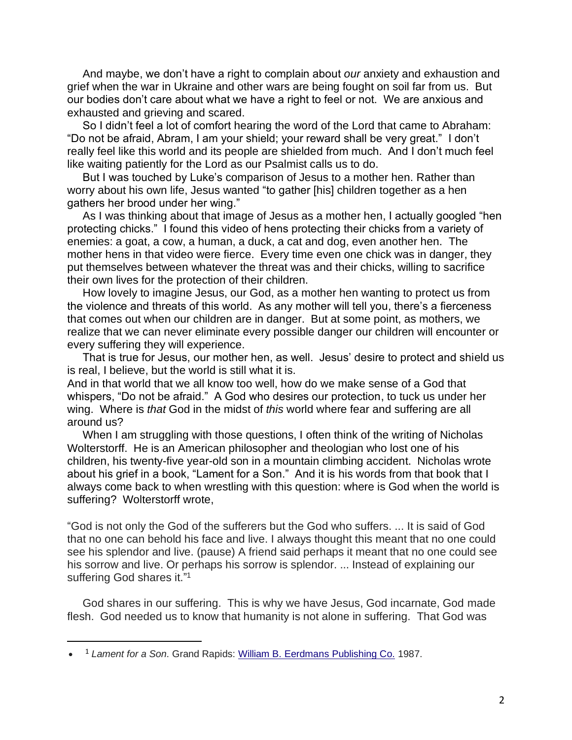And maybe, we don't have a right to complain about *our* anxiety and exhaustion and grief when the war in Ukraine and other wars are being fought on soil far from us. But our bodies don't care about what we have a right to feel or not. We are anxious and exhausted and grieving and scared.

 So I didn't feel a lot of comfort hearing the word of the Lord that came to Abraham: "Do not be afraid, Abram, I am your shield; your reward shall be very great." I don't really feel like this world and its people are shielded from much. And I don't much feel like waiting patiently for the Lord as our Psalmist calls us to do.

 But I was touched by Luke's comparison of Jesus to a mother hen. Rather than worry about his own life, Jesus wanted "to gather [his] children together as a hen gathers her brood under her wing."

 As I was thinking about that image of Jesus as a mother hen, I actually googled "hen protecting chicks." I found this video of hens protecting their chicks from a variety of enemies: a goat, a cow, a human, a duck, a cat and dog, even another hen. The mother hens in that video were fierce. Every time even one chick was in danger, they put themselves between whatever the threat was and their chicks, willing to sacrifice their own lives for the protection of their children.

 How lovely to imagine Jesus, our God, as a mother hen wanting to protect us from the violence and threats of this world. As any mother will tell you, there's a fierceness that comes out when our children are in danger. But at some point, as mothers, we realize that we can never eliminate every possible danger our children will encounter or every suffering they will experience.

 That is true for Jesus, our mother hen, as well. Jesus' desire to protect and shield us is real, I believe, but the world is still what it is.

And in that world that we all know too well, how do we make sense of a God that whispers, "Do not be afraid." A God who desires our protection, to tuck us under her wing. Where is *that* God in the midst of *this* world where fear and suffering are all around us?

When I am struggling with those questions, I often think of the writing of Nicholas Wolterstorff. He is an American philosopher and theologian who lost one of his children, his twenty-five year-old son in a mountain climbing accident. Nicholas wrote about his grief in a book, "Lament for a Son." And it is his words from that book that I always come back to when wrestling with this question: where is God when the world is suffering? Wolterstorff wrote,

"God is not only the God of the sufferers but the God who suffers. ... It is said of God that no one can behold his face and live. I always thought this meant that no one could see his splendor and live. (pause) A friend said perhaps it meant that no one could see his sorrow and live. Or perhaps his sorrow is splendor. ... Instead of explaining our suffering God shares it."<sup>1</sup>

 God shares in our suffering. This is why we have Jesus, God incarnate, God made flesh. God needed us to know that humanity is not alone in suffering. That God was

<sup>•</sup> <sup>1</sup> *Lament for a Son*. Grand Rapids: [William B. Eerdmans Publishing Co.](https://en.wikipedia.org/wiki/William_B._Eerdmans_Publishing_Co.) 1987.